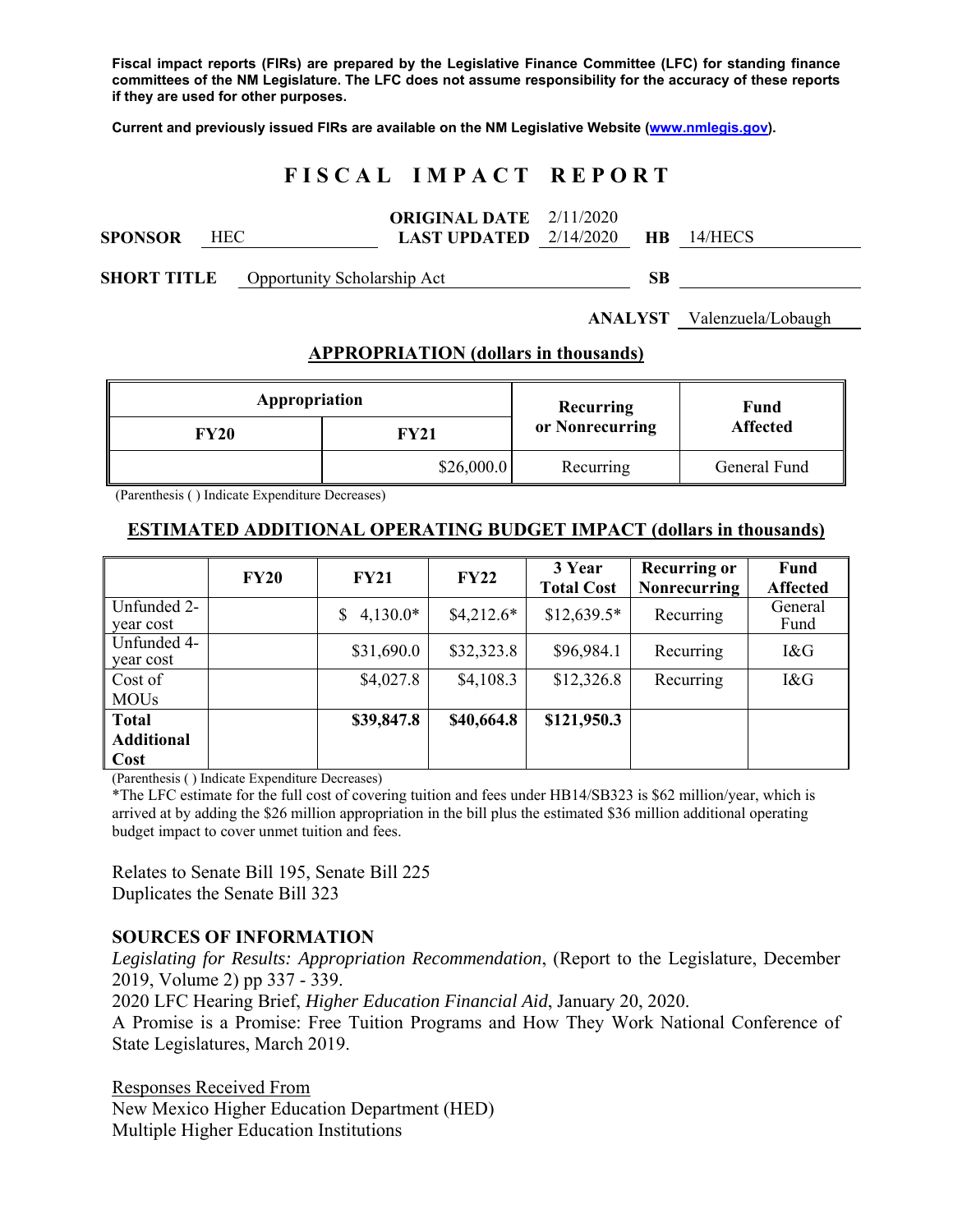**Fiscal impact reports (FIRs) are prepared by the Legislative Finance Committee (LFC) for standing finance committees of the NM Legislature. The LFC does not assume responsibility for the accuracy of these reports if they are used for other purposes.** 

**Current and previously issued FIRs are available on the NM Legislative Website (www.nmlegis.gov).** 

# **F I S C A L I M P A C T R E P O R T**

|         |            | <b>ORIGINAL DATE</b> $2/11/2020$                    |  |  |
|---------|------------|-----------------------------------------------------|--|--|
| SPONSOR | <b>HEC</b> | <b>LAST UPDATED</b> $2/14/2020$ <b>HB</b> $14/HECS$ |  |  |

**SHORT TITLE** Opportunity Scholarship Act **SB** 

**ANALYST** Valenzuela/Lobaugh

#### **APPROPRIATION (dollars in thousands)**

| Appropriation |            | Recurring       | Fund<br><b>Affected</b> |  |
|---------------|------------|-----------------|-------------------------|--|
| <b>FY20</b>   | FY21       | or Nonrecurring |                         |  |
|               | \$26,000.0 | Recurring       | General Fund            |  |

(Parenthesis ( ) Indicate Expenditure Decreases)

# **ESTIMATED ADDITIONAL OPERATING BUDGET IMPACT (dollars in thousands)**

|                                           | <b>FY20</b> | <b>FY21</b>      | FY22        | 3 Year<br><b>Total Cost</b> | <b>Recurring or</b><br><b>Nonrecurring</b> | <b>Fund</b><br><b>Affected</b> |
|-------------------------------------------|-------------|------------------|-------------|-----------------------------|--------------------------------------------|--------------------------------|
| Unfunded 2-<br>year cost                  |             | $4,130.0*$<br>S. | $$4,212.6*$ | $$12,639.5*$                | Recurring                                  | General<br>Fund                |
| Unfunded 4-<br>year cost                  |             | \$31,690.0       | \$32,323.8  | \$96,984.1                  | Recurring                                  | 1&G                            |
| Cost of<br><b>MOUs</b>                    |             | \$4,027.8        | \$4,108.3   | \$12,326.8                  | Recurring                                  | I&G                            |
| <b>Total</b><br><b>Additional</b><br>Cost |             | \$39,847.8       | \$40,664.8  | \$121,950.3                 |                                            |                                |

(Parenthesis ( ) Indicate Expenditure Decreases)

\*The LFC estimate for the full cost of covering tuition and fees under HB14/SB323 is \$62 million/year, which is arrived at by adding the \$26 million appropriation in the bill plus the estimated \$36 million additional operating budget impact to cover unmet tuition and fees.

Relates to Senate Bill 195, Senate Bill 225 Duplicates the Senate Bill 323

# **SOURCES OF INFORMATION**

*Legislating for Results: Appropriation Recommendation*, (Report to the Legislature, December 2019, Volume 2) pp 337 - 339.

2020 LFC Hearing Brief, *Higher Education Financial Aid*, January 20, 2020.

A Promise is a Promise: Free Tuition Programs and How They Work National Conference of State Legislatures, March 2019.

Responses Received From New Mexico Higher Education Department (HED) Multiple Higher Education Institutions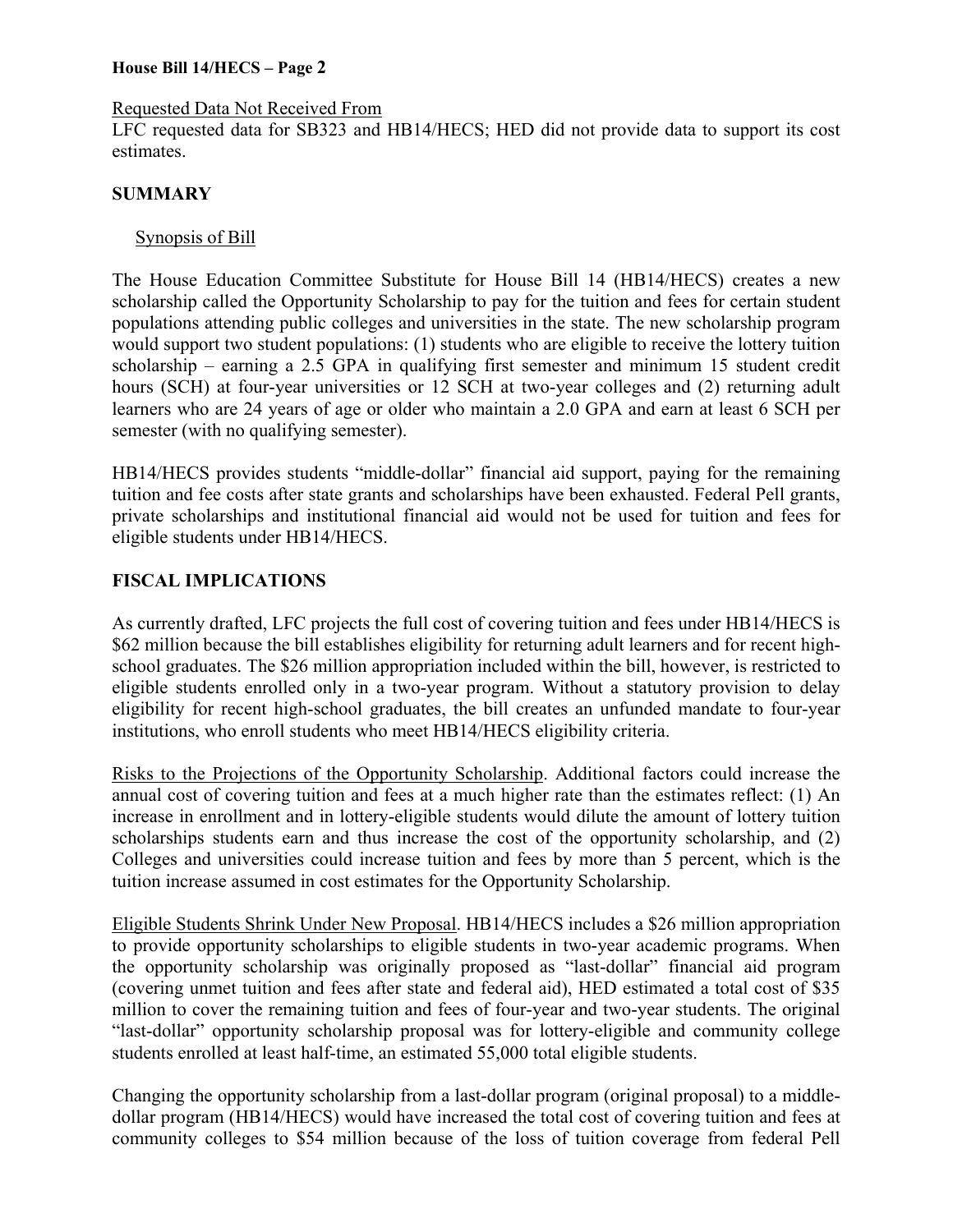#### Requested Data Not Received From

LFC requested data for SB323 and HB14/HECS; HED did not provide data to support its cost estimates.

#### **SUMMARY**

#### Synopsis of Bill

The House Education Committee Substitute for House Bill 14 (HB14/HECS) creates a new scholarship called the Opportunity Scholarship to pay for the tuition and fees for certain student populations attending public colleges and universities in the state. The new scholarship program would support two student populations: (1) students who are eligible to receive the lottery tuition scholarship – earning a 2.5 GPA in qualifying first semester and minimum 15 student credit hours (SCH) at four-year universities or 12 SCH at two-year colleges and (2) returning adult learners who are 24 years of age or older who maintain a 2.0 GPA and earn at least 6 SCH per semester (with no qualifying semester).

HB14/HECS provides students "middle-dollar" financial aid support, paying for the remaining tuition and fee costs after state grants and scholarships have been exhausted. Federal Pell grants, private scholarships and institutional financial aid would not be used for tuition and fees for eligible students under HB14/HECS.

### **FISCAL IMPLICATIONS**

As currently drafted, LFC projects the full cost of covering tuition and fees under HB14/HECS is \$62 million because the bill establishes eligibility for returning adult learners and for recent highschool graduates. The \$26 million appropriation included within the bill, however, is restricted to eligible students enrolled only in a two-year program. Without a statutory provision to delay eligibility for recent high-school graduates, the bill creates an unfunded mandate to four-year institutions, who enroll students who meet HB14/HECS eligibility criteria.

Risks to the Projections of the Opportunity Scholarship. Additional factors could increase the annual cost of covering tuition and fees at a much higher rate than the estimates reflect: (1) An increase in enrollment and in lottery-eligible students would dilute the amount of lottery tuition scholarships students earn and thus increase the cost of the opportunity scholarship, and (2) Colleges and universities could increase tuition and fees by more than 5 percent, which is the tuition increase assumed in cost estimates for the Opportunity Scholarship.

Eligible Students Shrink Under New Proposal. HB14/HECS includes a \$26 million appropriation to provide opportunity scholarships to eligible students in two-year academic programs. When the opportunity scholarship was originally proposed as "last-dollar" financial aid program (covering unmet tuition and fees after state and federal aid), HED estimated a total cost of \$35 million to cover the remaining tuition and fees of four-year and two-year students. The original "last-dollar" opportunity scholarship proposal was for lottery-eligible and community college students enrolled at least half-time, an estimated 55,000 total eligible students.

Changing the opportunity scholarship from a last-dollar program (original proposal) to a middledollar program (HB14/HECS) would have increased the total cost of covering tuition and fees at community colleges to \$54 million because of the loss of tuition coverage from federal Pell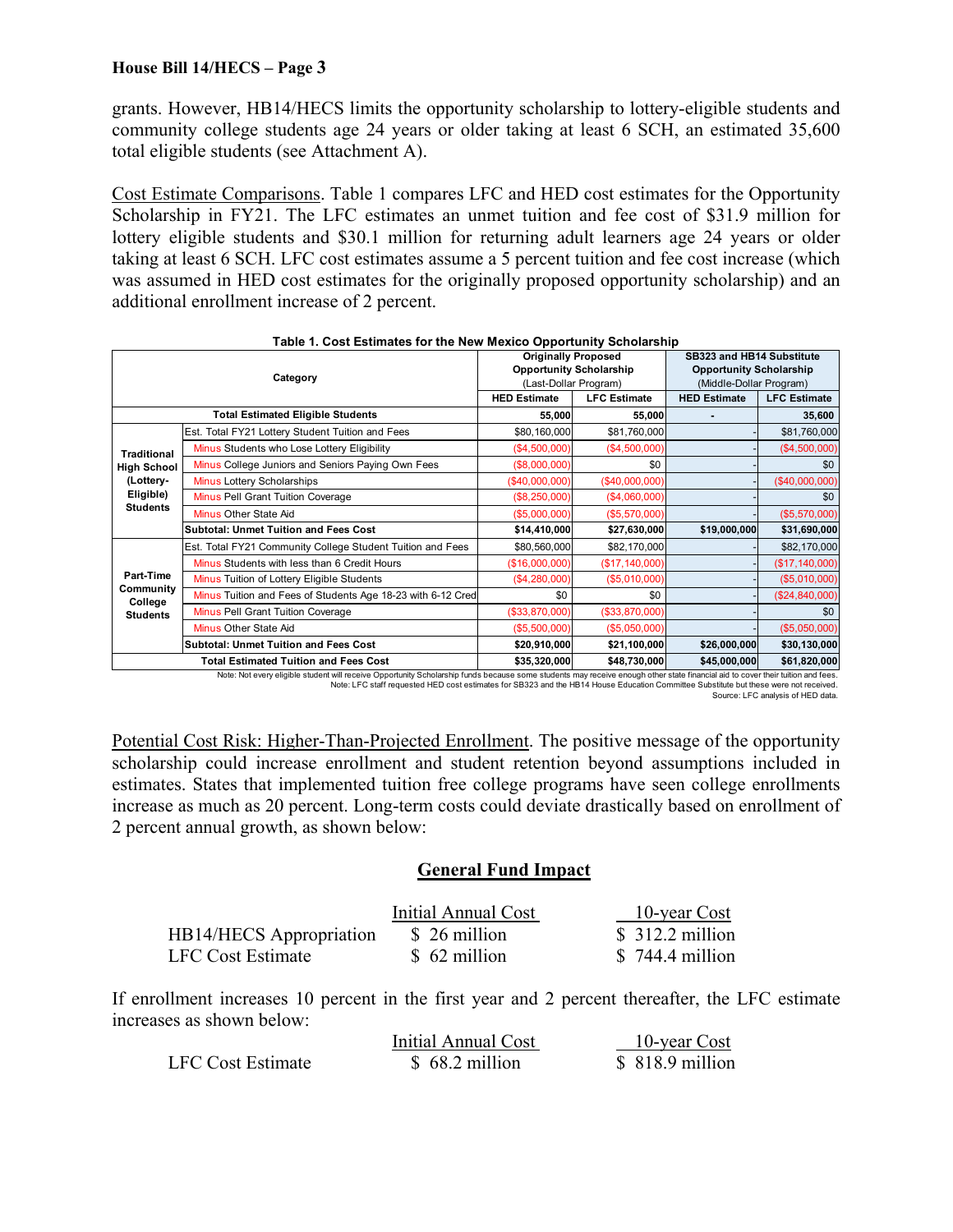grants. However, HB14/HECS limits the opportunity scholarship to lottery-eligible students and community college students age 24 years or older taking at least 6 SCH, an estimated 35,600 total eligible students (see Attachment A).

Cost Estimate Comparisons. Table 1 compares LFC and HED cost estimates for the Opportunity Scholarship in FY21. The LFC estimates an unmet tuition and fee cost of \$31.9 million for lottery eligible students and \$30.1 million for returning adult learners age 24 years or older taking at least 6 SCH. LFC cost estimates assume a 5 percent tuition and fee cost increase (which was assumed in HED cost estimates for the originally proposed opportunity scholarship) and an additional enrollment increase of 2 percent.

| Category                                             |                                                             | <b>Originally Proposed</b><br><b>Opportunity Scholarship</b><br>(Last-Dollar Program)                                                           |                     | SB323 and HB14 Substitute<br><b>Opportunity Scholarship</b><br>(Middle-Dollar Program)                                                                                                                                                           |                     |
|------------------------------------------------------|-------------------------------------------------------------|-------------------------------------------------------------------------------------------------------------------------------------------------|---------------------|--------------------------------------------------------------------------------------------------------------------------------------------------------------------------------------------------------------------------------------------------|---------------------|
|                                                      |                                                             | <b>HED Estimate</b>                                                                                                                             | <b>LFC Estimate</b> | <b>HED Estimate</b>                                                                                                                                                                                                                              | <b>LFC Estimate</b> |
| <b>Total Estimated Eligible Students</b>             |                                                             | 55,000                                                                                                                                          | 55,000              |                                                                                                                                                                                                                                                  | 35,600              |
|                                                      | Est. Total FY21 Lottery Student Tuition and Fees            | \$80,160,000                                                                                                                                    | \$81,760,000        |                                                                                                                                                                                                                                                  | \$81,760,000        |
| <b>Traditional</b>                                   | Minus Students who Lose Lottery Eligibility                 | (\$4,500,000)                                                                                                                                   | (\$4,500,000)       |                                                                                                                                                                                                                                                  | (\$4,500,000)       |
| <b>High School</b>                                   | Minus College Juniors and Seniors Paying Own Fees           | (\$8,000,000)                                                                                                                                   | \$0                 |                                                                                                                                                                                                                                                  | \$0                 |
| (Lottery-                                            | Minus Lottery Scholarships                                  | (\$40,000,000)                                                                                                                                  | (\$40,000,000)      |                                                                                                                                                                                                                                                  | (\$40,000,000)      |
| Eligible)<br><b>Students</b>                         | <b>Minus Pell Grant Tuition Coverage</b>                    | (\$8,250,000)                                                                                                                                   | (\$4,060,000)       |                                                                                                                                                                                                                                                  | \$0                 |
|                                                      | Minus Other State Aid                                       | (\$5,000,000)                                                                                                                                   | (\$5,570,000)       |                                                                                                                                                                                                                                                  | (\$5,570,000)       |
|                                                      | <b>Subtotal: Unmet Tuition and Fees Cost</b>                | \$14,410,000                                                                                                                                    | \$27,630,000        | \$19,000,000                                                                                                                                                                                                                                     | \$31,690,000        |
|                                                      | Est. Total FY21 Community College Student Tuition and Fees  | \$80,560,000                                                                                                                                    | \$82,170,000        |                                                                                                                                                                                                                                                  | \$82,170,000        |
|                                                      | Minus Students with less than 6 Credit Hours                | (\$16,000,000)                                                                                                                                  | (\$17, 140, 000)    |                                                                                                                                                                                                                                                  | (\$17, 140, 000)    |
| Part-Time<br>Community<br>College<br><b>Students</b> | Minus Tuition of Lottery Eligible Students                  | (\$4,280,000)                                                                                                                                   | (\$5,010,000)       |                                                                                                                                                                                                                                                  | (\$5,010,000)       |
|                                                      | Minus Tuition and Fees of Students Age 18-23 with 6-12 Cred | \$0                                                                                                                                             | \$0                 |                                                                                                                                                                                                                                                  | (\$24, 840, 000)    |
|                                                      | Minus Pell Grant Tuition Coverage                           | (\$33,870,000)                                                                                                                                  | (\$33,870,000)      |                                                                                                                                                                                                                                                  | \$0                 |
|                                                      | Minus Other State Aid                                       | (\$5,500,000)                                                                                                                                   | $($ \$5,050,000)    |                                                                                                                                                                                                                                                  | ( \$5,050,000)      |
|                                                      | <b>Subtotal: Unmet Tuition and Fees Cost</b>                |                                                                                                                                                 | \$21,100,000        | \$26,000,000                                                                                                                                                                                                                                     | \$30,130,000        |
| <b>Total Estimated Tuition and Fees Cost</b>         |                                                             | \$35,320,000<br>Market Mark and a Bathley and a death of a state Company of a bathley failed and the Company<br>and the seat of the seat of the | \$48,730,000        | \$45,000,000<br>$\alpha$ is a substitute of the set of the set of the field of the set of the set of the set of the set of the set of the set of the set of the set of the set of the set of the set of the set of the set of the set of the set | \$61,820,000        |

#### **Table 1. Cost Estimates for the New Mexico Opportunity Scholarship**

.Note: Not every eligible student will receive Opportunity Scholarship funds because some students may receive enough other state financial aid to cover their tuition and fees.<br>Note: LFC staff requested HED cost estimates Source: LFC analysis of HED data.

Potential Cost Risk: Higher-Than-Projected Enrollment. The positive message of the opportunity scholarship could increase enrollment and student retention beyond assumptions included in estimates. States that implemented tuition free college programs have seen college enrollments increase as much as 20 percent. Long-term costs could deviate drastically based on enrollment of 2 percent annual growth, as shown below:

#### **General Fund Impact**

|                                | Initial Annual Cost | $\frac{10\text{-year Cost}}{}$ |
|--------------------------------|---------------------|--------------------------------|
| <b>HB14/HECS</b> Appropriation | \$ 26 million       | $$312.2$ million               |
| LFC Cost Estimate              | \$ 62 million       | $$744.4$ million               |

If enrollment increases 10 percent in the first year and 2 percent thereafter, the LFC estimate increases as shown below:

|                   | Initial Annual Cost | 10-year Cost     |
|-------------------|---------------------|------------------|
| LFC Cost Estimate | $$68.2$ million     | $$818.9$ million |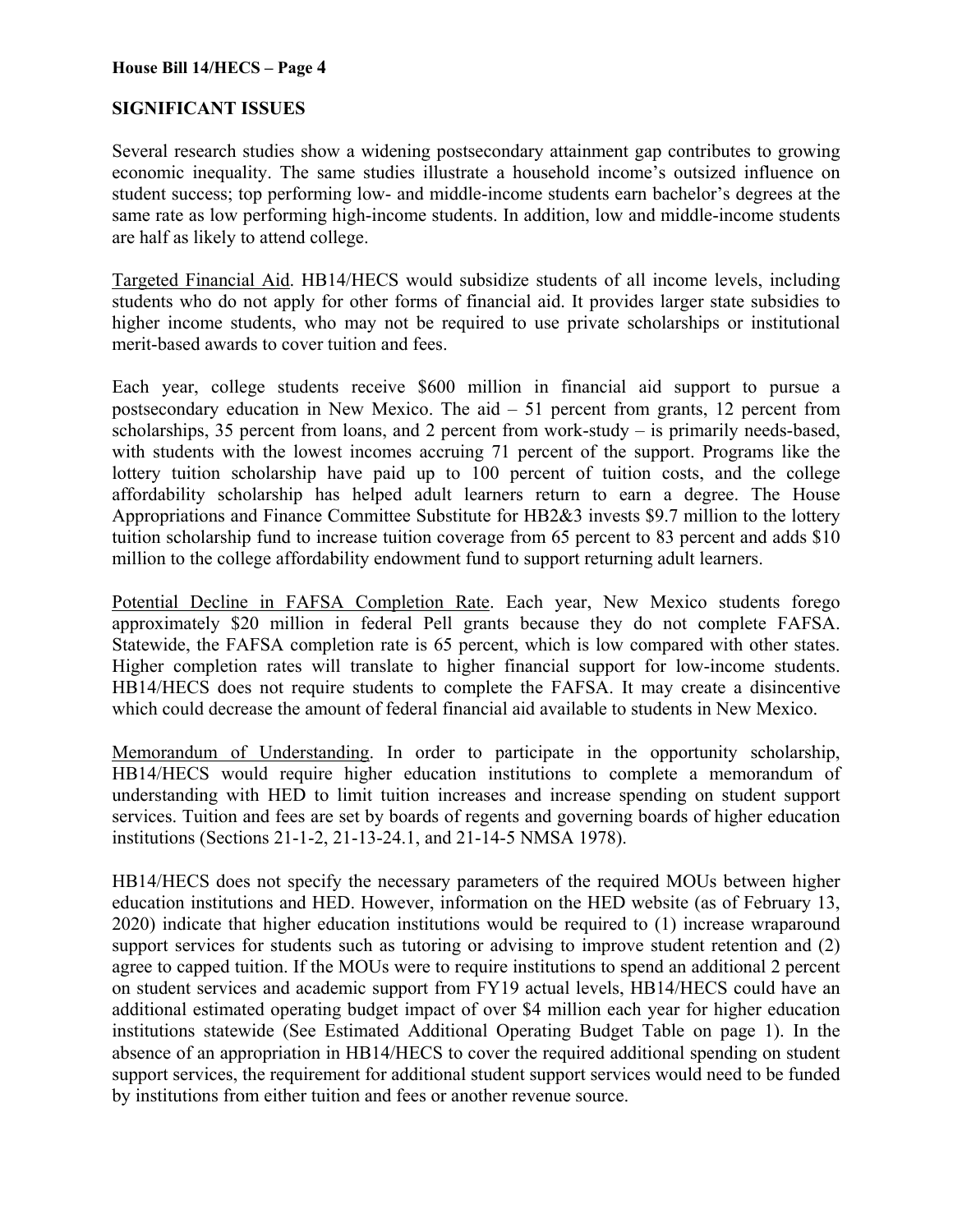#### **SIGNIFICANT ISSUES**

Several research studies show a widening postsecondary attainment gap contributes to growing economic inequality. The same studies illustrate a household income's outsized influence on student success; top performing low- and middle-income students earn bachelor's degrees at the same rate as low performing high-income students. In addition, low and middle-income students are half as likely to attend college.

Targeted Financial Aid. HB14/HECS would subsidize students of all income levels, including students who do not apply for other forms of financial aid. It provides larger state subsidies to higher income students, who may not be required to use private scholarships or institutional merit-based awards to cover tuition and fees.

Each year, college students receive \$600 million in financial aid support to pursue a postsecondary education in New Mexico. The aid – 51 percent from grants, 12 percent from scholarships, 35 percent from loans, and 2 percent from work-study – is primarily needs-based, with students with the lowest incomes accruing 71 percent of the support. Programs like the lottery tuition scholarship have paid up to 100 percent of tuition costs, and the college affordability scholarship has helped adult learners return to earn a degree. The House Appropriations and Finance Committee Substitute for HB2&3 invests \$9.7 million to the lottery tuition scholarship fund to increase tuition coverage from 65 percent to 83 percent and adds \$10 million to the college affordability endowment fund to support returning adult learners.

Potential Decline in FAFSA Completion Rate. Each year, New Mexico students forego approximately \$20 million in federal Pell grants because they do not complete FAFSA. Statewide, the FAFSA completion rate is 65 percent, which is low compared with other states. Higher completion rates will translate to higher financial support for low-income students. HB14/HECS does not require students to complete the FAFSA. It may create a disincentive which could decrease the amount of federal financial aid available to students in New Mexico.

Memorandum of Understanding. In order to participate in the opportunity scholarship, HB14/HECS would require higher education institutions to complete a memorandum of understanding with HED to limit tuition increases and increase spending on student support services. Tuition and fees are set by boards of regents and governing boards of higher education institutions (Sections 21-1-2, 21-13-24.1, and 21-14-5 NMSA 1978).

HB14/HECS does not specify the necessary parameters of the required MOUs between higher education institutions and HED. However, information on the HED website (as of February 13, 2020) indicate that higher education institutions would be required to (1) increase wraparound support services for students such as tutoring or advising to improve student retention and (2) agree to capped tuition. If the MOUs were to require institutions to spend an additional 2 percent on student services and academic support from FY19 actual levels, HB14/HECS could have an additional estimated operating budget impact of over \$4 million each year for higher education institutions statewide (See Estimated Additional Operating Budget Table on page 1). In the absence of an appropriation in HB14/HECS to cover the required additional spending on student support services, the requirement for additional student support services would need to be funded by institutions from either tuition and fees or another revenue source.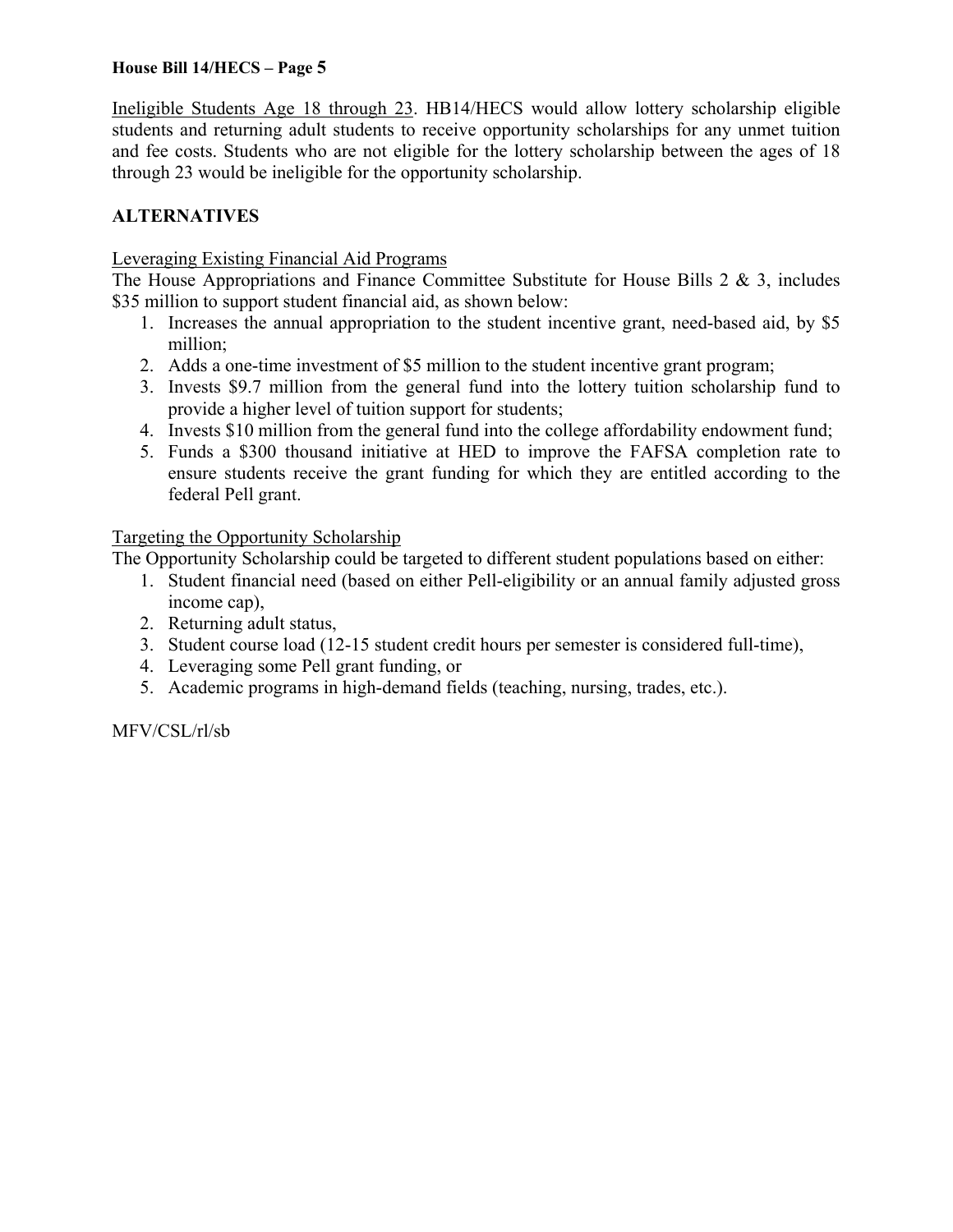Ineligible Students Age 18 through 23. HB14/HECS would allow lottery scholarship eligible students and returning adult students to receive opportunity scholarships for any unmet tuition and fee costs. Students who are not eligible for the lottery scholarship between the ages of 18 through 23 would be ineligible for the opportunity scholarship.

### **ALTERNATIVES**

#### Leveraging Existing Financial Aid Programs

The House Appropriations and Finance Committee Substitute for House Bills  $2 \& 3$ , includes \$35 million to support student financial aid, as shown below:

- 1. Increases the annual appropriation to the student incentive grant, need-based aid, by \$5 million;
- 2. Adds a one-time investment of \$5 million to the student incentive grant program;
- 3. Invests \$9.7 million from the general fund into the lottery tuition scholarship fund to provide a higher level of tuition support for students;
- 4. Invests \$10 million from the general fund into the college affordability endowment fund;
- 5. Funds a \$300 thousand initiative at HED to improve the FAFSA completion rate to ensure students receive the grant funding for which they are entitled according to the federal Pell grant.

Targeting the Opportunity Scholarship

The Opportunity Scholarship could be targeted to different student populations based on either:

- 1. Student financial need (based on either Pell-eligibility or an annual family adjusted gross income cap),
- 2. Returning adult status,
- 3. Student course load (12-15 student credit hours per semester is considered full-time),
- 4. Leveraging some Pell grant funding, or
- 5. Academic programs in high-demand fields (teaching, nursing, trades, etc.).

MFV/CSL/rl/sb